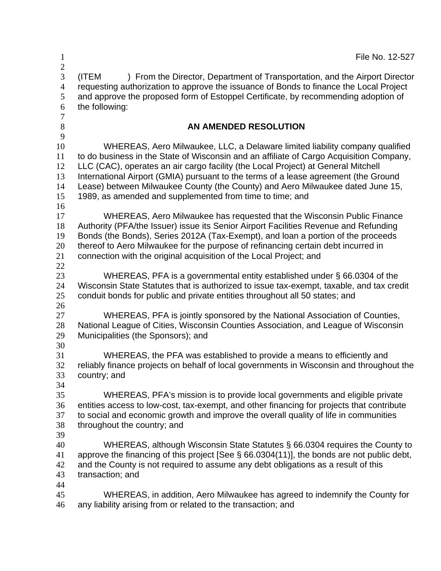| $\mathbf{1}$                                                      | File No. 12-527                                                                                                                                                                                                                                                                                                                                                                                                                                                                                   |
|-------------------------------------------------------------------|---------------------------------------------------------------------------------------------------------------------------------------------------------------------------------------------------------------------------------------------------------------------------------------------------------------------------------------------------------------------------------------------------------------------------------------------------------------------------------------------------|
| $\mathbf{2}$<br>3<br>$\overline{4}$<br>5<br>6<br>$\boldsymbol{7}$ | (ITEM<br>) From the Director, Department of Transportation, and the Airport Director<br>requesting authorization to approve the issuance of Bonds to finance the Local Project<br>and approve the proposed form of Estoppel Certificate, by recommending adoption of<br>the following:                                                                                                                                                                                                            |
| $8\,$                                                             | AN AMENDED RESOLUTION                                                                                                                                                                                                                                                                                                                                                                                                                                                                             |
| 9<br>10<br>11<br>12<br>13<br>14<br>15<br>16                       | WHEREAS, Aero Milwaukee, LLC, a Delaware limited liability company qualified<br>to do business in the State of Wisconsin and an affiliate of Cargo Acquisition Company,<br>LLC (CAC), operates an air cargo facility (the Local Project) at General Mitchell<br>International Airport (GMIA) pursuant to the terms of a lease agreement (the Ground<br>Lease) between Milwaukee County (the County) and Aero Milwaukee dated June 15,<br>1989, as amended and supplemented from time to time; and |
| 17<br>18<br>19<br>20<br>21<br>22                                  | WHEREAS, Aero Milwaukee has requested that the Wisconsin Public Finance<br>Authority (PFA/the Issuer) issue its Senior Airport Facilities Revenue and Refunding<br>Bonds (the Bonds), Series 2012A (Tax-Exempt), and loan a portion of the proceeds<br>thereof to Aero Milwaukee for the purpose of refinancing certain debt incurred in<br>connection with the original acquisition of the Local Project; and                                                                                    |
| 23<br>24<br>25                                                    | WHEREAS, PFA is a governmental entity established under § 66.0304 of the<br>Wisconsin State Statutes that is authorized to issue tax-exempt, taxable, and tax credit<br>conduit bonds for public and private entities throughout all 50 states; and                                                                                                                                                                                                                                               |
| 26<br>27<br>28<br>29<br>30                                        | WHEREAS, PFA is jointly sponsored by the National Association of Counties,<br>National League of Cities, Wisconsin Counties Association, and League of Wisconsin<br>Municipalities (the Sponsors); and                                                                                                                                                                                                                                                                                            |
| 31<br>32<br>33<br>34                                              | WHEREAS, the PFA was established to provide a means to efficiently and<br>reliably finance projects on behalf of local governments in Wisconsin and throughout the<br>country; and                                                                                                                                                                                                                                                                                                                |
| 35<br>36<br>37<br>38<br>39                                        | WHEREAS, PFA's mission is to provide local governments and eligible private<br>entities access to low-cost, tax-exempt, and other financing for projects that contribute<br>to social and economic growth and improve the overall quality of life in communities<br>throughout the country; and                                                                                                                                                                                                   |
| 40<br>41<br>42<br>43                                              | WHEREAS, although Wisconsin State Statutes § 66.0304 requires the County to<br>approve the financing of this project [See § 66.0304(11)], the bonds are not public debt,<br>and the County is not required to assume any debt obligations as a result of this<br>transaction; and                                                                                                                                                                                                                 |
| 44<br>45<br>46                                                    | WHEREAS, in addition, Aero Milwaukee has agreed to indemnify the County for<br>any liability arising from or related to the transaction; and                                                                                                                                                                                                                                                                                                                                                      |